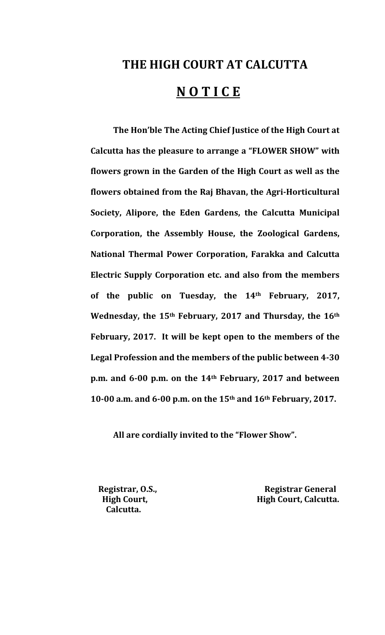# **THE HIGH COURT AT CALCUTTA N O T I C E**

**The Hon'ble The Acting Chief Justice of the High Court at Calcutta has the pleasure to arrange a "FLOWER SHOW" with flowers grown in the Garden of the High Court as well as the flowers obtained from the Raj Bhavan, the AgriHorticultural Society, Alipore, the Eden Gardens, the Calcutta Municipal Corporation, the Assembly House, the Zoological Gardens, National Thermal Power Corporation, Farakka and Calcutta Electric Supply Corporation etc. and also from the members of the public on Tuesday, the 14th February, 2017, Wednesday, the 15th February, 2017 and Thursday, the 16th February, 2017. It will be kept open to the members of the Legal Profession and the members of the public between 430 p.m. and 600 p.m. on the 14th February, 2017 and between 1000 a.m. and 600 p.m. on the 15th and 16th February, 2017.**

 **All are cordially invited to the "Flower Show".**

 **Calcutta.**

 **Registrar, O.S., Registrar General High Court, High Court, Calcutta.**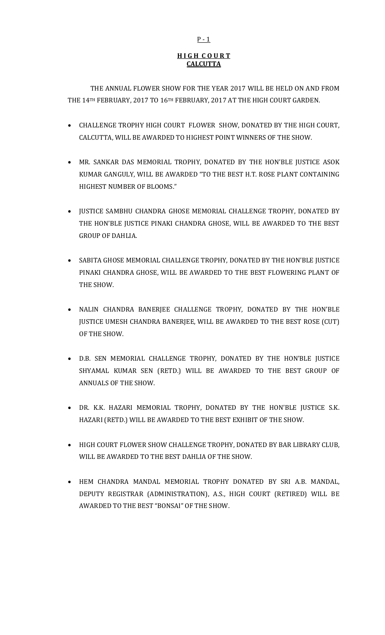# **H I G H C O U R T CALCUTTA**

 THE ANNUAL FLOWER SHOW FOR THE YEAR 2017 WILL BE HELD ON AND FROM THE 14TH FEBRUARY, 2017 TO 16TH FEBRUARY, 2017 AT THE HIGH COURT GARDEN.

- CHALLENGE TROPHY HIGH COURT FLOWER SHOW, DONATED BY THE HIGH COURT, CALCUTTA, WILL BE AWARDED TO HIGHEST POINT WINNERS OF THE SHOW.
- MR. SANKAR DAS MEMORIAL TROPHY, DONATED BY THE HON'BLE JUSTICE ASOK KUMAR GANGULY, WILL BE AWARDED "TO THE BEST H.T. ROSE PLANT CONTAINING HIGHEST NUMBER OF BLOOMS."
- JUSTICE SAMBHU CHANDRA GHOSE MEMORIAL CHALLENGE TROPHY, DONATED BY THE HON'BLE JUSTICE PINAKI CHANDRA GHOSE, WILL BE AWARDED TO THE BEST GROUP OF DAHLIA.
- SABITA GHOSE MEMORIAL CHALLENGE TROPHY, DONATED BY THE HON'BLE JUSTICE PINAKI CHANDRA GHOSE, WILL BE AWARDED TO THE BEST FLOWERING PLANT OF THE SHOW.
- NALIN CHANDRA BANERJEE CHALLENGE TROPHY, DONATED BY THE HON'BLE JUSTICE UMESH CHANDRA BANERJEE, WILL BE AWARDED TO THE BEST ROSE (CUT) OF THE SHOW.
- D.B. SEN MEMORIAL CHALLENGE TROPHY, DONATED BY THE HON'BLE JUSTICE SHYAMAL KUMAR SEN (RETD.) WILL BE AWARDED TO THE BEST GROUP OF ANNUALS OF THE SHOW.
- DR. K.K. HAZARI MEMORIAL TROPHY, DONATED BY THE HON'BLE JUSTICE S.K. HAZARI (RETD.) WILL BE AWARDED TO THE BEST EXHIBIT OF THE SHOW.
- HIGH COURT FLOWER SHOW CHALLENGE TROPHY, DONATED BY BAR LIBRARY CLUB, WILL BE AWARDED TO THE BEST DAHLIA OF THE SHOW.
- HEM CHANDRA MANDAL MEMORIAL TROPHY DONATED BY SRI A.B. MANDAL, DEPUTY REGISTRAR (ADMINISTRATION), A.S., HIGH COURT (RETIRED) WILL BE AWARDED TO THE BEST "BONSAI" OF THE SHOW.

## $P - 1$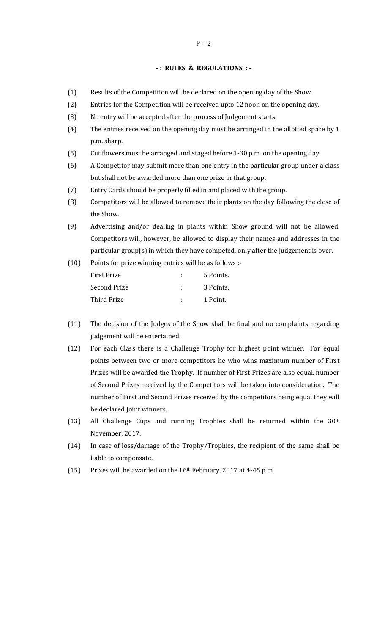#### $P - 2$

#### **: RULES & REGULATIONS :**

- (1) Results of the Competition will be declared on the opening day of the Show.
- (2) Entries for the Competition will be received upto 12 noon on the opening day.
- (3) No entry will be accepted after the process of Judgement starts.
- (4) The entries received on the opening day must be arranged in the allotted space by 1 p.m. sharp.
- (5) Cut flowers must be arranged and staged before 1‐30 p.m. on the opening day.
- (6) A Competitor may submit more than one entry in the particular group under a class but shall not be awarded more than one prize in that group.
- (7) Entry Cards should be properly filled in and placed with the group.
- (8) Competitors will be allowed to remove their plants on the day following the close of the Show.
- (9) Advertising and/or dealing in plants within Show ground will not be allowed. Competitors will, however, be allowed to display their names and addresses in the particular group(s) in which they have competed, only after the judgement is over.

| (10) | Points for prize winning entries will be as follows :- |  |           |
|------|--------------------------------------------------------|--|-----------|
|      | <b>First Prize</b>                                     |  | 5 Points. |
|      | Second Prize                                           |  | 3 Points. |
|      | Third Prize                                            |  | 1 Point.  |

- (11) The decision of the Judges of the Show shall be final and no complaints regarding judgement will be entertained.
- (12) For each Class there is a Challenge Trophy for highest point winner. For equal points between two or more competitors he who wins maximum number of First Prizes will be awarded the Trophy. If number of First Prizes are also equal, number of Second Prizes received by the Competitors will be taken into consideration. The number of First and Second Prizes received by the competitors being equal they will be declared Joint winners.
- (13) All Challenge Cups and running Trophies shall be returned within the  $30<sup>th</sup>$ November, 2017.
- (14) In case of loss/damage of the Trophy/Trophies, the recipient of the same shall be liable to compensate.
- (15) Prizes will be awarded on the 16th February, 2017 at 4‐45 p.m.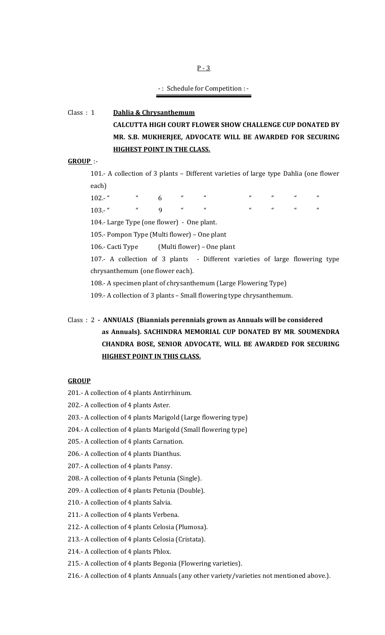$P - 3$ 

## ‐ : Schedule for Competition : ‐

# Class : 1 **Dahlia & Chrysanthemum**

**CALCUTTA HIGH COURT FLOWER SHOW CHALLENGE CUP DONATED BY MR. S.B. MUKHERJEE, ADVOCATE WILL BE AWARDED FOR SECURING HIGHEST POINT IN THE CLASS.**

# **GROUP** :‐

101.- A collection of 3 plants - Different varieties of large type Dahlia (one flower each)

102.‐ " " 6 " " " " " " 103.‐ " " 9 " " " " " "

104.- Large Type (one flower) - One plant.

105.‐ Pompon Type (Multi flower) – One plant

106.- Cacti Type (Multi flower) – One plant

107.- A collection of 3 plants - Different varieties of large flowering type chrysanthemum (one flower each).

108.‐ A specimen plant of chrysanthemum (Large Flowering Type)

109.‐ A collection of 3 plants – Small flowering type chrysanthemum.

#### **GROUP**

- 201.‐ A collection of 4 plants Antirrhinum.
- 202.‐ A collection of 4 plants Aster.
- 203.‐ A collection of 4 plants Marigold (Large flowering type)
- 204.‐ A collection of 4 plants Marigold (Small flowering type)
- 205.‐ A collection of 4 plants Carnation.
- 206.‐ A collection of 4 plants Dianthus.
- 207.‐ A collection of 4 plants Pansy.
- 208.‐ A collection of 4 plants Petunia (Single).
- 209.‐ A collection of 4 plants Petunia (Double).
- 210.‐ A collection of 4 plants Salvia.
- 211.‐ A collection of 4 plants Verbena.
- 212.‐ A collection of 4 plants Celosia (Plumosa).
- 213.‐ A collection of 4 plants Celosia (Cristata).
- 214.‐ A collection of 4 plants Phlox.
- 215.‐ A collection of 4 plants Begonia (Flowering varieties).
- 216.‐ A collection of 4 plants Annuals (any other variety/varieties not mentioned above.).

Class : 2  **ANNUALS (Biannials perennials grown as Annuals will be considered as Annuals). SACHINDRA MEMORIAL CUP DONATED BY MR**. **SOUMENDRA CHANDRA BOSE, SENIOR ADVOCATE, WILL BE AWARDED FOR SECURING HIGHEST POINT IN THIS CLASS.**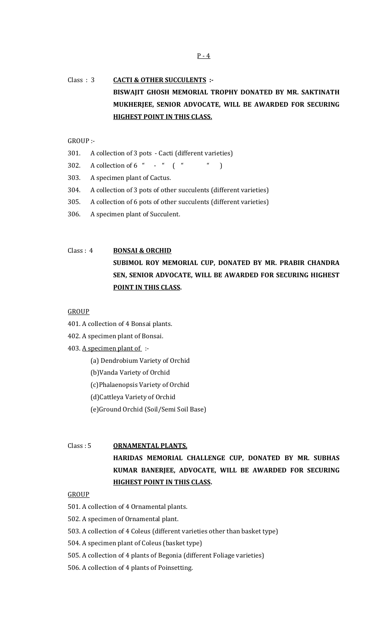# Class : 3 **CACTI & OTHER SUCCULENTS : BISWAJIT GHOSH MEMORIAL TROPHY DONATED BY MR. SAKTINATH MUKHERJEE, SENIOR ADVOCATE, WILL BE AWARDED FOR SECURING HIGHEST POINT IN THIS CLASS.**

GROUP :‐

- 301. A collection of 3 pots Cacti (different varieties)
- 302. A collection of  $6$  "  $-$  "  $($  "  $)$
- 303. A specimen plant of Cactus.
- 304. A collection of 3 pots of other succulents (different varieties)
- 305. A collection of 6 pots of other succulents (different varieties)
- 306. A specimen plant of Succulent.

# Class : 4 **BONSAI & ORCHID**

**SUBIMOL ROY MEMORIAL CUP, DONATED BY MR. PRABIR CHANDRA SEN, SENIOR ADVOCATE, WILL BE AWARDED FOR SECURING HIGHEST POINT IN THIS CLASS.**

#### **GROUP**

- 401. A collection of 4 Bonsai plants.
- 402. A specimen plant of Bonsai.
- 403. A specimen plant of :-
	- (a) Dendrobium Variety of Orchid
	- (b)Vanda Variety of Orchid
	- (c)Phalaenopsis Variety of Orchid
	- (d)Cattleya Variety of Orchid
	- (e)Ground Orchid (Soil/Semi Soil Base)

## Class : 5 **ORNAMENTAL PLANTS.**

**HARIDAS MEMORIAL CHALLENGE CUP, DONATED BY MR. SUBHAS KUMAR BANERJEE, ADVOCATE, WILL BE AWARDED FOR SECURING HIGHEST POINT IN THIS CLASS.**

## **GROUP**

- 501. A collection of 4 Ornamental plants.
- 502. A specimen of Ornamental plant.
- 503. A collection of 4 Coleus (different varieties other than basket type)
- 504. A specimen plant of Coleus (basket type)
- 505. A collection of 4 plants of Begonia (different Foliage varieties)
- 506. A collection of 4 plants of Poinsetting.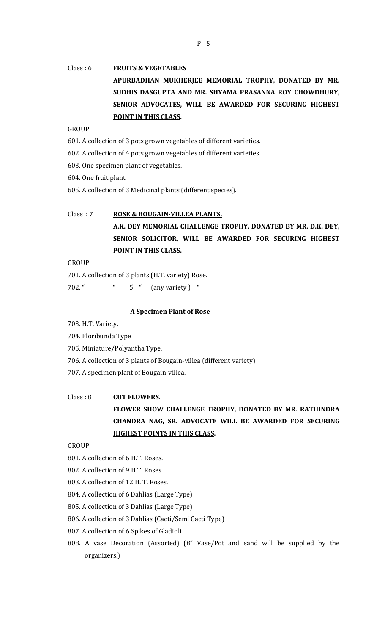# Class : 6 **FRUITS & VEGETABLES APURBADHAN MUKHERJEE MEMORIAL TROPHY, DONATED BY MR. SUDHIS DASGUPTA AND MR. SHYAMA PRASANNA ROY CHOWDHURY, SENIOR ADVOCATES, WILL BE AWARDED FOR SECURING HIGHEST POINT IN THIS CLASS.**

## **GROUP**

601. A collection of 3 pots grown vegetables of different varieties.

602. A collection of 4 pots grown vegetables of different varieties.

603. One specimen plant of vegetables.

604. One fruit plant.

605. A collection of 3 Medicinal plants (different species).

# Class : 7 **ROSE & BOUGAINVILLEA PLANTS. A.K. DEY MEMORIAL CHALLENGE TROPHY, DONATED BY MR. D.K. DEY, SENIOR SOLICITOR, WILL BE AWARDED FOR SECURING HIGHEST POINT IN THIS CLASS.**

**GROUP** 

701. A collection of 3 plants (H.T. variety) Rose. 702. " " 5 " (any variety ) "

## **A Specimen Plant of Rose**

703. H.T. Variety.

- 704. Floribunda Type
- 705. Miniature/Polyantha Type.
- 706. A collection of 3 plants of Bougain‐villea (different variety)
- 707. A specimen plant of Bougain‐villea.

## Class : 8 **CUT FLOWERS**.

**FLOWER SHOW CHALLENGE TROPHY, DONATED BY MR. RATHINDRA CHANDRA NAG, SR. ADVOCATE WILL BE AWARDED FOR SECURING HIGHEST POINTS IN THIS CLASS.**

#### GROUP

801. A collection of 6 H.T. Roses.

- 802. A collection of 9 H.T. Roses.
- 803. A collection of 12 H. T. Roses.
- 804. A collection of 6 Dahlias (Large Type)
- 805. A collection of 3 Dahlias (Large Type)
- 806. A collection of 3 Dahlias (Cacti/Semi Cacti Type)
- 807. A collection of 6 Spikes of Gladioli.
- 808. A vase Decoration (Assorted) (8" Vase/Pot and sand will be supplied by the organizers.)